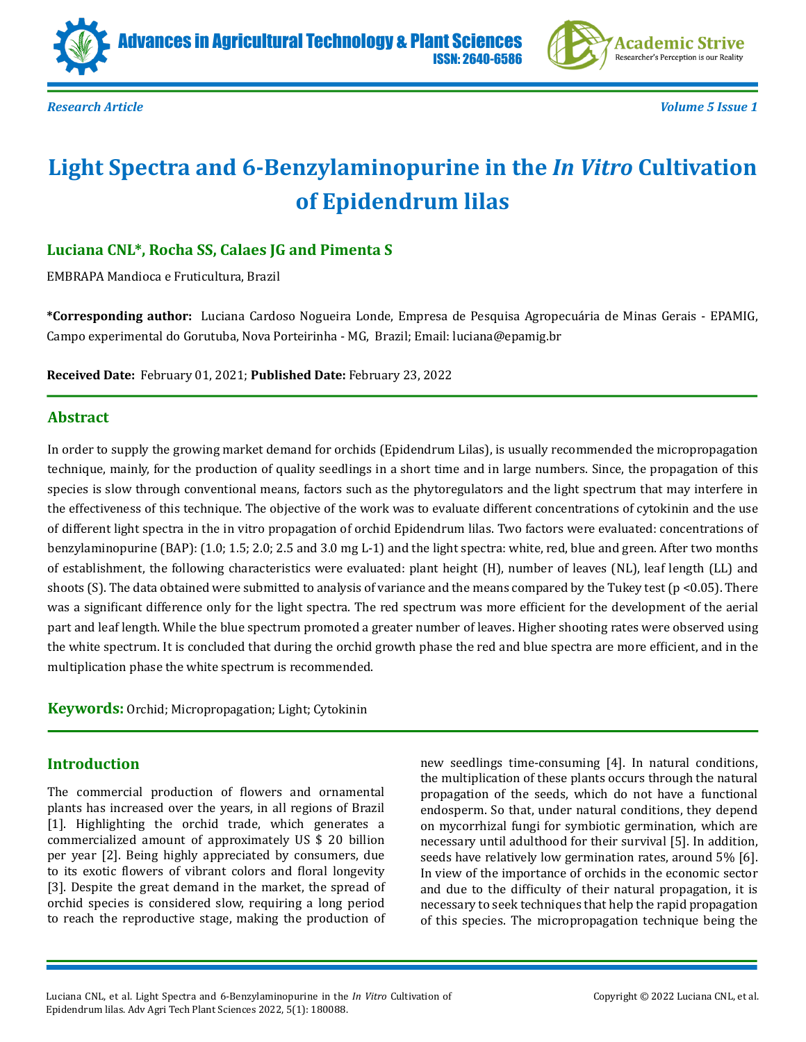



*Research Article Volume 5 Issue 1*

# **Light Spectra and 6-Benzylaminopurine in the** *In Vitro* **Cultivation of Epidendrum lilas**

ISSN: 2640-6586

### **Luciana CNL\*, Rocha SS, Calaes JG and Pimenta S**

EMBRAPA Mandioca e Fruticultura, Brazil

**\*Corresponding author:** Luciana Cardoso Nogueira Londe, Empresa de Pesquisa Agropecuária de Minas Gerais - EPAMIG, Campo experimental do Gorutuba, Nova Porteirinha - MG, Brazil; Email: luciana@epamig.br

**Received Date:** February 01, 2021; **Published Date:** February 23, 2022

#### **Abstract**

In order to supply the growing market demand for orchids (Epidendrum Lilas), is usually recommended the micropropagation technique, mainly, for the production of quality seedlings in a short time and in large numbers. Since, the propagation of this species is slow through conventional means, factors such as the phytoregulators and the light spectrum that may interfere in the effectiveness of this technique. The objective of the work was to evaluate different concentrations of cytokinin and the use of different light spectra in the in vitro propagation of orchid Epidendrum lilas. Two factors were evaluated: concentrations of benzylaminopurine (BAP): (1.0; 1.5; 2.0; 2.5 and 3.0 mg L-1) and the light spectra: white, red, blue and green. After two months of establishment, the following characteristics were evaluated: plant height (H), number of leaves (NL), leaf length (LL) and shoots (S). The data obtained were submitted to analysis of variance and the means compared by the Tukey test ( $p < 0.05$ ). There was a significant difference only for the light spectra. The red spectrum was more efficient for the development of the aerial part and leaf length. While the blue spectrum promoted a greater number of leaves. Higher shooting rates were observed using the white spectrum. It is concluded that during the orchid growth phase the red and blue spectra are more efficient, and in the multiplication phase the white spectrum is recommended.

**Keywords:** Orchid; Micropropagation; Light; Cytokinin

#### **Introduction**

The commercial production of flowers and ornamental plants has increased over the years, in all regions of Brazil [1]. Highlighting the orchid trade, which generates a commercialized amount of approximately US \$ 20 billion per year [2]. Being highly appreciated by consumers, due to its exotic flowers of vibrant colors and floral longevity [3]. Despite the great demand in the market, the spread of orchid species is considered slow, requiring a long period to reach the reproductive stage, making the production of

new seedlings time-consuming [4]. In natural conditions, the multiplication of these plants occurs through the natural propagation of the seeds, which do not have a functional endosperm. So that, under natural conditions, they depend on mycorrhizal fungi for symbiotic germination, which are necessary until adulthood for their survival [5]. In addition, seeds have relatively low germination rates, around 5% [6]. In view of the importance of orchids in the economic sector and due to the difficulty of their natural propagation, it is necessary to seek techniques that help the rapid propagation of this species. The micropropagation technique being the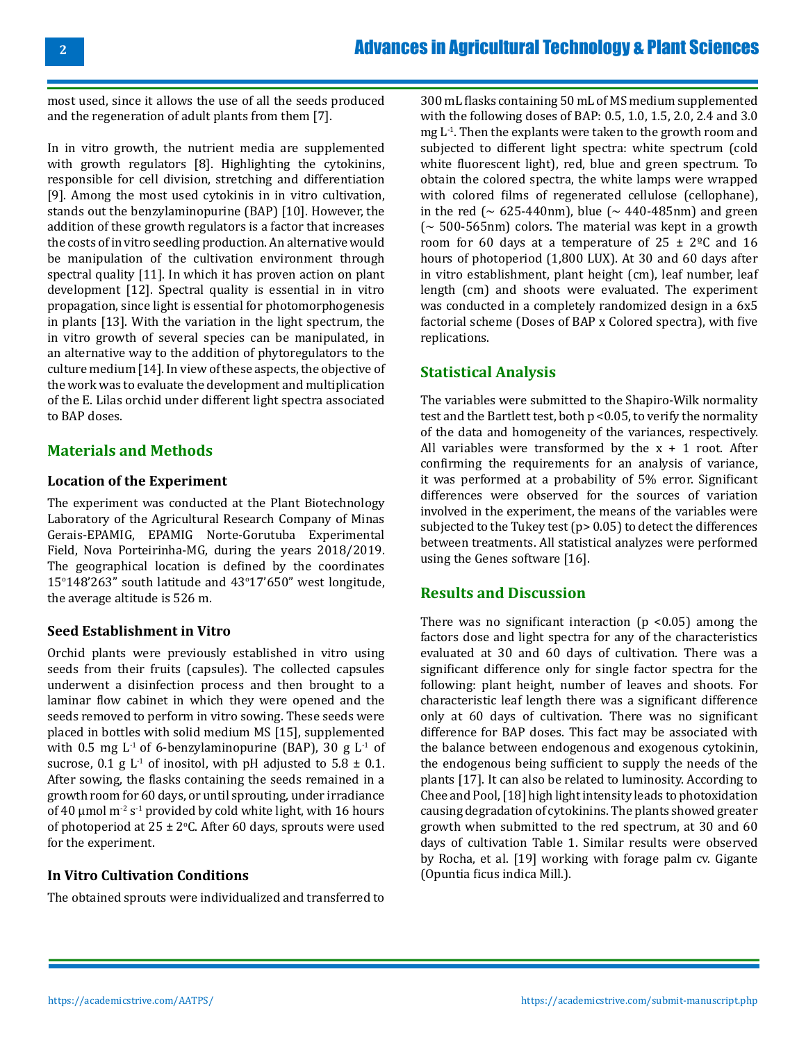most used, since it allows the use of all the seeds produced and the regeneration of adult plants from them [7].

In in vitro growth, the nutrient media are supplemented with growth regulators [8]. Highlighting the cytokinins, responsible for cell division, stretching and differentiation [9]. Among the most used cytokinis in in vitro cultivation, stands out the benzylaminopurine (BAP) [10]. However, the addition of these growth regulators is a factor that increases the costs of in vitro seedling production. An alternative would be manipulation of the cultivation environment through spectral quality [11]. In which it has proven action on plant development [12]. Spectral quality is essential in in vitro propagation, since light is essential for photomorphogenesis in plants [13]. With the variation in the light spectrum, the in vitro growth of several species can be manipulated, in an alternative way to the addition of phytoregulators to the culture medium [14]. In view of these aspects, the objective of the work was to evaluate the development and multiplication of the E. Lilas orchid under different light spectra associated to BAP doses.

#### **Materials and Methods**

#### **Location of the Experiment**

The experiment was conducted at the Plant Biotechnology Laboratory of the Agricultural Research Company of Minas Gerais-EPAMIG, EPAMIG Norte-Gorutuba Experimental Field, Nova Porteirinha-MG, during the years 2018/2019. The geographical location is defined by the coordinates  $15^{\circ}148^{\prime}263^{\prime\prime}$  south latitude and  $43^{\circ}17^{\prime}650^{\prime\prime}$  west longitude, the average altitude is 526 m.

#### **Seed Establishment in Vitro**

Orchid plants were previously established in vitro using seeds from their fruits (capsules). The collected capsules underwent a disinfection process and then brought to a laminar flow cabinet in which they were opened and the seeds removed to perform in vitro sowing. These seeds were placed in bottles with solid medium MS [15], supplemented with 0.5 mg  $L^1$  of 6-benzylaminopurine (BAP), 30 g  $L^1$  of sucrose, 0.1 g  $L^1$  of inositol, with pH adjusted to  $5.8 \pm 0.1$ . After sowing, the flasks containing the seeds remained in a growth room for 60 days, or until sprouting, under irradiance of 40  $\mu$ mol m<sup>-2</sup> s<sup>-1</sup> provided by cold white light, with 16 hours of photoperiod at  $25 \pm 2$ °C. After 60 days, sprouts were used for the experiment.

#### **In Vitro Cultivation Conditions**

The obtained sprouts were individualized and transferred to

300 mL flasks containing 50 mL of MS medium supplemented with the following doses of BAP: 0.5, 1.0, 1.5, 2.0, 2.4 and 3.0  $mg L<sup>-1</sup>$ . Then the explants were taken to the growth room and subjected to different light spectra: white spectrum (cold white fluorescent light), red, blue and green spectrum. To obtain the colored spectra, the white lamps were wrapped with colored films of regenerated cellulose (cellophane), in the red ( $\sim 625$ -440nm), blue ( $\sim 440$ -485nm) and green ( $\sim$  500-565nm) colors. The material was kept in a growth room for 60 days at a temperature of  $25 \pm 2^{\circ}$ C and 16 hours of photoperiod (1,800 LUX). At 30 and 60 days after in vitro establishment, plant height (cm), leaf number, leaf length (cm) and shoots were evaluated. The experiment was conducted in a completely randomized design in a 6x5 factorial scheme (Doses of BAP x Colored spectra), with five replications.

## **Statistical Analysis**

The variables were submitted to the Shapiro-Wilk normality test and the Bartlett test, both p <0.05, to verify the normality of the data and homogeneity of the variances, respectively. All variables were transformed by the  $x + 1$  root. After confirming the requirements for an analysis of variance, it was performed at a probability of 5% error. Significant differences were observed for the sources of variation involved in the experiment, the means of the variables were subjected to the Tukey test (p> 0.05) to detect the differences between treatments. All statistical analyzes were performed using the Genes software [16].

#### **Results and Discussion**

There was no significant interaction ( $p$  <0.05) among the factors dose and light spectra for any of the characteristics evaluated at 30 and 60 days of cultivation. There was a significant difference only for single factor spectra for the following: plant height, number of leaves and shoots. For characteristic leaf length there was a significant difference only at 60 days of cultivation. There was no significant difference for BAP doses. This fact may be associated with the balance between endogenous and exogenous cytokinin, the endogenous being sufficient to supply the needs of the plants [17]. It can also be related to luminosity. According to Chee and Pool, [18] high light intensity leads to photoxidation causing degradation of cytokinins. The plants showed greater growth when submitted to the red spectrum, at 30 and 60 days of cultivation Table 1. Similar results were observed by Rocha, et al. [19] working with forage palm cv. Gigante (Opuntia ficus indica Mill.).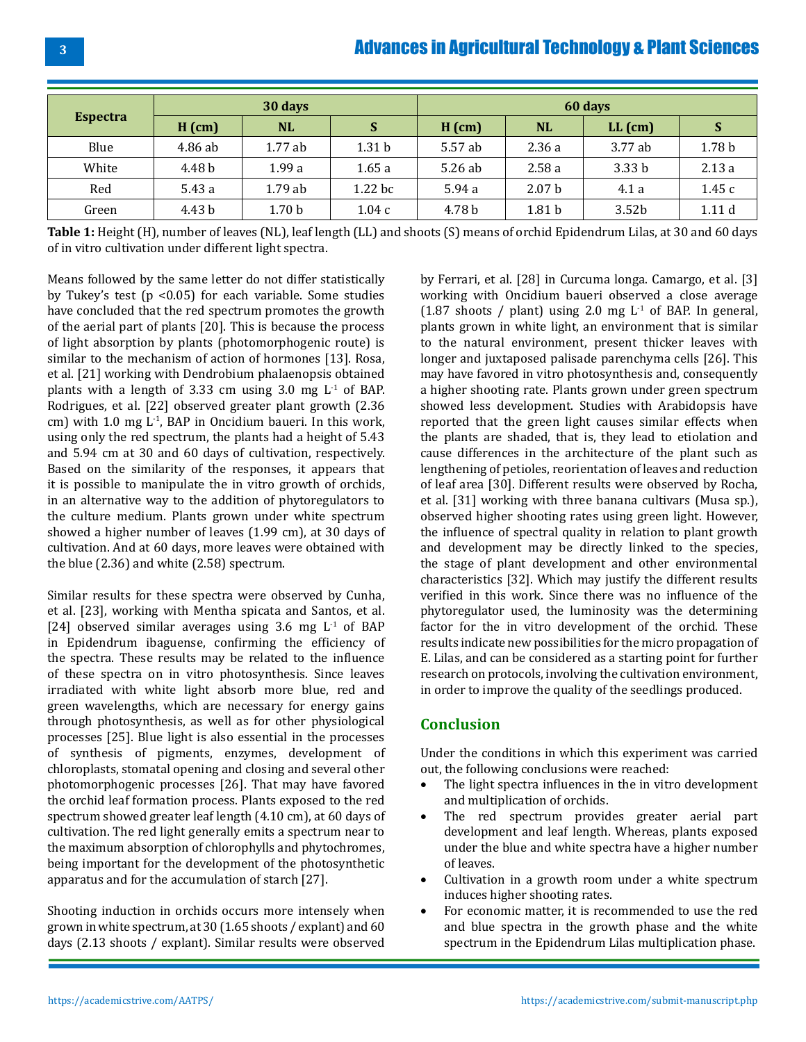# Advances in Agricultural Technology & Plant Sciences

| <b>Espectra</b> | 30 days  |           |                    | 60 days  |                   |                   |                   |
|-----------------|----------|-----------|--------------------|----------|-------------------|-------------------|-------------------|
|                 | $H$ (cm) | <b>NL</b> | S                  | $H$ (cm) | NL                | $LL$ (cm)         | S                 |
| Blue            | 4.86 ab  | 1.77ab    | 1.31 <sub>b</sub>  | 5.57 ab  | 2.36a             | 3.77 ab           | 1.78 <sub>b</sub> |
| White           | 4.48 b   | 1.99a     | 1.65a              | 5.26ab   | 2.58a             | 3.33 <sub>b</sub> | 2.13a             |
| Red             | 5.43 a   | 1.79ab    | 1.22 <sub>bc</sub> | 5.94a    | 2.07 <sub>b</sub> | 4.1a              | 1.45c             |
| Green           | 4.43 b   | 1.70 b    | 1.04c              | 4.78 b   | 1.81 <sub>b</sub> | 3.52 <sub>b</sub> | 1.11d             |

**Table 1:** Height (H), number of leaves (NL), leaf length (LL) and shoots (S) means of orchid Epidendrum Lilas, at 30 and 60 days of in vitro cultivation under different light spectra.

Means followed by the same letter do not differ statistically by Tukey's test (p <0.05) for each variable. Some studies have concluded that the red spectrum promotes the growth of the aerial part of plants [20]. This is because the process of light absorption by plants (photomorphogenic route) is similar to the mechanism of action of hormones [13]. Rosa, et al. [21] working with Dendrobium phalaenopsis obtained plants with a length of 3.33 cm using  $3.0 \text{ mg } L^1$  of BAP. Rodrigues, et al. [22] observed greater plant growth (2.36 cm) with 1.0 mg  $L^{-1}$ , BAP in Oncidium baueri. In this work, using only the red spectrum, the plants had a height of 5.43 and 5.94 cm at 30 and 60 days of cultivation, respectively. Based on the similarity of the responses, it appears that it is possible to manipulate the in vitro growth of orchids, in an alternative way to the addition of phytoregulators to the culture medium. Plants grown under white spectrum showed a higher number of leaves (1.99 cm), at 30 days of cultivation. And at 60 days, more leaves were obtained with the blue (2.36) and white (2.58) spectrum.

Similar results for these spectra were observed by Cunha, et al. [23], working with Mentha spicata and Santos, et al. [24] observed similar averages using 3.6 mg L-1 of BAP in Epidendrum ibaguense, confirming the efficiency of the spectra. These results may be related to the influence of these spectra on in vitro photosynthesis. Since leaves irradiated with white light absorb more blue, red and green wavelengths, which are necessary for energy gains through photosynthesis, as well as for other physiological processes [25]. Blue light is also essential in the processes of synthesis of pigments, enzymes, development of chloroplasts, stomatal opening and closing and several other photomorphogenic processes [26]. That may have favored the orchid leaf formation process. Plants exposed to the red spectrum showed greater leaf length (4.10 cm), at 60 days of cultivation. The red light generally emits a spectrum near to the maximum absorption of chlorophylls and phytochromes, being important for the development of the photosynthetic apparatus and for the accumulation of starch [27].

Shooting induction in orchids occurs more intensely when grown in white spectrum, at 30 (1.65 shoots / explant) and 60 days (2.13 shoots / explant). Similar results were observed

by Ferrari, et al. [28] in Curcuma longa. Camargo, et al. [3] working with Oncidium baueri observed a close average (1.87 shoots / plant) using 2.0 mg  $L<sup>-1</sup>$  of BAP. In general, plants grown in white light, an environment that is similar to the natural environment, present thicker leaves with longer and juxtaposed palisade parenchyma cells [26]. This may have favored in vitro photosynthesis and, consequently a higher shooting rate. Plants grown under green spectrum showed less development. Studies with Arabidopsis have reported that the green light causes similar effects when the plants are shaded, that is, they lead to etiolation and cause differences in the architecture of the plant such as lengthening of petioles, reorientation of leaves and reduction of leaf area [30]. Different results were observed by Rocha, et al. [31] working with three banana cultivars (Musa sp.), observed higher shooting rates using green light. However, the influence of spectral quality in relation to plant growth and development may be directly linked to the species, the stage of plant development and other environmental characteristics [32]. Which may justify the different results verified in this work. Since there was no influence of the phytoregulator used, the luminosity was the determining factor for the in vitro development of the orchid. These results indicate new possibilities for the micro propagation of E. Lilas, and can be considered as a starting point for further research on protocols, involving the cultivation environment, in order to improve the quality of the seedlings produced.

#### **Conclusion**

Under the conditions in which this experiment was carried out, the following conclusions were reached:

- The light spectra influences in the in vitro development and multiplication of orchids.
- • The red spectrum provides greater aerial part development and leaf length. Whereas, plants exposed under the blue and white spectra have a higher number of leaves.
- Cultivation in a growth room under a white spectrum induces higher shooting rates.
- For economic matter, it is recommended to use the red and blue spectra in the growth phase and the white spectrum in the Epidendrum Lilas multiplication phase.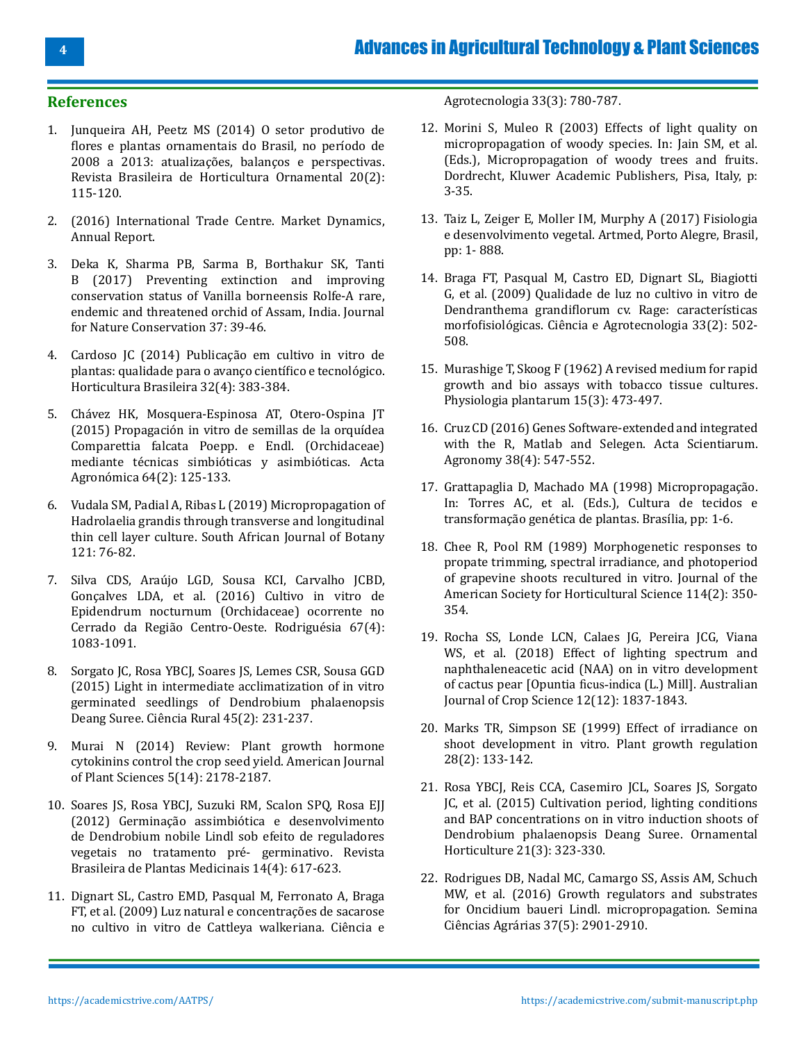#### **References**

- 1. [Junqueira AH, Peetz MS \(2014\) O setor produtivo de](http://www.hortica.com.br/artigos/2014/Setor_Produtivo_Cadeia_Flores_Plantas_Ornamentais_2014.pdf) [flores e plantas ornamentais do Brasil, no período de](http://www.hortica.com.br/artigos/2014/Setor_Produtivo_Cadeia_Flores_Plantas_Ornamentais_2014.pdf) [2008 a 2013: atualizações, balanços e perspectivas.](http://www.hortica.com.br/artigos/2014/Setor_Produtivo_Cadeia_Flores_Plantas_Ornamentais_2014.pdf) [Revista Brasileira de Horticultura Ornamental 20\(2\):](http://www.hortica.com.br/artigos/2014/Setor_Produtivo_Cadeia_Flores_Plantas_Ornamentais_2014.pdf) [115-120.](http://www.hortica.com.br/artigos/2014/Setor_Produtivo_Cadeia_Flores_Plantas_Ornamentais_2014.pdf)
- 2. [\(2016\) International Trade Centre. Market Dynamics,](https://www.intracen.org/uploadedFiles/intracenorg/Content/About_ITC/Corporate_Documents/Annual_Report/Annual%20Report-2016-web(2).pdf) [Annual Report.](https://www.intracen.org/uploadedFiles/intracenorg/Content/About_ITC/Corporate_Documents/Annual_Report/Annual%20Report-2016-web(2).pdf)
- 3. [Deka K, Sharma PB, Sarma B, Borthakur SK, Tanti](https://www.semanticscholar.org/paper/Preventing-extinction-and-improving-conservation-of-Deka-Baruah/a1976d1c0904f96efb0f1c8b0ef1b27ab5a0bd4e) [B \(2017\) Preventing extinction and improving](https://www.semanticscholar.org/paper/Preventing-extinction-and-improving-conservation-of-Deka-Baruah/a1976d1c0904f96efb0f1c8b0ef1b27ab5a0bd4e) [conservation status of Vanilla borneensis Rolfe-A rare,](https://www.semanticscholar.org/paper/Preventing-extinction-and-improving-conservation-of-Deka-Baruah/a1976d1c0904f96efb0f1c8b0ef1b27ab5a0bd4e) [endemic and threatened orchid of Assam, India. Journal](https://www.semanticscholar.org/paper/Preventing-extinction-and-improving-conservation-of-Deka-Baruah/a1976d1c0904f96efb0f1c8b0ef1b27ab5a0bd4e) [for Nature Conservation 37: 39-46.](https://www.semanticscholar.org/paper/Preventing-extinction-and-improving-conservation-of-Deka-Baruah/a1976d1c0904f96efb0f1c8b0ef1b27ab5a0bd4e)
- 4. [Cardoso JC \(2014\) Publicação em cultivo in vitro de](https://www.scielo.br/j/hb/a/3srNBK33D4cnVPScVb53Sww/abstract/?lang=pt) [plantas: qualidade para o avanço científico e tecnológico.](https://www.scielo.br/j/hb/a/3srNBK33D4cnVPScVb53Sww/abstract/?lang=pt) [Horticultura Brasileira 32\(4\): 383-384.](https://www.scielo.br/j/hb/a/3srNBK33D4cnVPScVb53Sww/abstract/?lang=pt)
- 5. [Chávez HK, Mosquera-Espinosa AT, Otero-Ospina JT](http://www.scielo.org.co/scielo.php?script=sci_arttext&pid=S0120-28122015000200004) [\(2015\) Propagación in vitro de semillas de la orquídea](http://www.scielo.org.co/scielo.php?script=sci_arttext&pid=S0120-28122015000200004) [Comparettia falcata Poepp. e Endl. \(Orchidaceae\)](http://www.scielo.org.co/scielo.php?script=sci_arttext&pid=S0120-28122015000200004) [mediante técnicas simbióticas y asimbióticas. Acta](http://www.scielo.org.co/scielo.php?script=sci_arttext&pid=S0120-28122015000200004) [Agronómica 64\(2\): 125-133.](http://www.scielo.org.co/scielo.php?script=sci_arttext&pid=S0120-28122015000200004)
- 6. [Vudala SM, Padial A, Ribas L \(2019\) Micropropagation of](https://www.sciencedirect.com/science/article/pii/S025462991830663X) [Hadrolaelia grandis through transverse and longitudinal](https://www.sciencedirect.com/science/article/pii/S025462991830663X) [thin cell layer culture. South African Journal of Botany](https://www.sciencedirect.com/science/article/pii/S025462991830663X) [121: 76-82.](https://www.sciencedirect.com/science/article/pii/S025462991830663X)
- 7. [Silva CDS, Araújo LGD, Sousa KCI, Carvalho JCBD,](https://www.scielo.br/j/rod/a/JFd6Yg7zKX8hm4qtm6SzfwQ/abstract/?lang=pt) [Gonçalves LDA, et al. \(2016\) Cultivo in vitro de](https://www.scielo.br/j/rod/a/JFd6Yg7zKX8hm4qtm6SzfwQ/abstract/?lang=pt) [Epidendrum nocturnum \(Orchidaceae\) ocorrente no](https://www.scielo.br/j/rod/a/JFd6Yg7zKX8hm4qtm6SzfwQ/abstract/?lang=pt) [Cerrado da Região Centro-Oeste. Rodriguésia 67\(4\):](https://www.scielo.br/j/rod/a/JFd6Yg7zKX8hm4qtm6SzfwQ/abstract/?lang=pt) [1083-1091.](https://www.scielo.br/j/rod/a/JFd6Yg7zKX8hm4qtm6SzfwQ/abstract/?lang=pt)
- 8. [Sorgato JC, Rosa YBCJ, Soares JS, Lemes CSR, Sousa GGD](https://www.scielo.br/j/cr/a/nkh7xWkrJxKSsYy84jXDLRd/?lang=en) [\(2015\) Light in intermediate acclimatization of in vitro](https://www.scielo.br/j/cr/a/nkh7xWkrJxKSsYy84jXDLRd/?lang=en) [germinated seedlings of Dendrobium phalaenopsis](https://www.scielo.br/j/cr/a/nkh7xWkrJxKSsYy84jXDLRd/?lang=en) [Deang Suree. Ciência Rural 45\(2\): 231-237.](https://www.scielo.br/j/cr/a/nkh7xWkrJxKSsYy84jXDLRd/?lang=en)
- 9. [Murai N \(2014\) Review: Plant growth hormone](https://m.scirp.org/papers/47554) [cytokinins control the crop seed yield. American Journal](https://m.scirp.org/papers/47554) [of Plant Sciences 5\(14\): 2178-2187.](https://m.scirp.org/papers/47554)
- 10. [Soares JS, Rosa YBCJ, Suzuki RM, Scalon SPQ, Rosa EJJ](https://www.scielo.br/j/rbpm/a/cB4yg4BKcXbJkC4m6tnjwtx/abstract/?lang=pt) [\(2012\) Germinação assimbiótica e desenvolvimento](https://www.scielo.br/j/rbpm/a/cB4yg4BKcXbJkC4m6tnjwtx/abstract/?lang=pt) [de Dendrobium nobile Lindl sob efeito de reguladores](https://www.scielo.br/j/rbpm/a/cB4yg4BKcXbJkC4m6tnjwtx/abstract/?lang=pt) [vegetais no tratamento pré- germinativo. Revista](https://www.scielo.br/j/rbpm/a/cB4yg4BKcXbJkC4m6tnjwtx/abstract/?lang=pt) [Brasileira de Plantas Medicinais 14\(4\): 617-623.](https://www.scielo.br/j/rbpm/a/cB4yg4BKcXbJkC4m6tnjwtx/abstract/?lang=pt)
- 11. [Dignart SL, Castro EMD, Pasqual M, Ferronato A, Braga](https://www.scielo.br/j/cagro/a/sNZsFGMYZPYPPJxRc3TX4Kc/?lang=pt) [FT, et al. \(2009\) Luz natural e concentrações de sacarose](https://www.scielo.br/j/cagro/a/sNZsFGMYZPYPPJxRc3TX4Kc/?lang=pt) [no cultivo in vitro de Cattleya walkeriana. Ciência e](https://www.scielo.br/j/cagro/a/sNZsFGMYZPYPPJxRc3TX4Kc/?lang=pt)

[Agrotecnologia 33\(3\): 780-787.](https://www.scielo.br/j/cagro/a/sNZsFGMYZPYPPJxRc3TX4Kc/?lang=pt)

- 12. [Morini S, Muleo R \(2003\) Effects of light quality on](https://www.cabdirect.org/cabdirect/abstract/20033100639)  [micropropagation of woody species. In: Jain SM, et al.](https://www.cabdirect.org/cabdirect/abstract/20033100639)  [\(Eds.\), Micropropagation of woody trees and fruits.](https://www.cabdirect.org/cabdirect/abstract/20033100639) [Dordrecht, Kluwer Academic Publishers, Pisa, Italy, p:](https://www.cabdirect.org/cabdirect/abstract/20033100639) [3-35](https://www.cabdirect.org/cabdirect/abstract/20033100639).
- 13. [Taiz L, Zeiger E, Moller IM, Murphy A \(2017\) Fisiologia](https://grupos.moodle.ufsc.br/pluginfile.php/474835/mod_resource/content/0/Fisiologia%20e%20desenvolvimento%20vegetal%20-%20Zair%206%C2%AAed.pdf)  [e desenvolvimento vegetal. Artmed, Porto Alegre, Brasil,](https://grupos.moodle.ufsc.br/pluginfile.php/474835/mod_resource/content/0/Fisiologia%20e%20desenvolvimento%20vegetal%20-%20Zair%206%C2%AAed.pdf) [pp: 1- 888.](https://grupos.moodle.ufsc.br/pluginfile.php/474835/mod_resource/content/0/Fisiologia%20e%20desenvolvimento%20vegetal%20-%20Zair%206%C2%AAed.pdf)
- 14. [Braga FT, Pasqual M, Castro ED, Dignart SL, Biagiotti](https://www.scielo.br/j/cagro/a/KRQH6RWCr5SnX6bdKMM6VDM/?lang=pt)  [G, et al. \(2009\) Qualidade de luz no cultivo in vitro de](https://www.scielo.br/j/cagro/a/KRQH6RWCr5SnX6bdKMM6VDM/?lang=pt)  [Dendranthema grandiflorum cv. Rage: características](https://www.scielo.br/j/cagro/a/KRQH6RWCr5SnX6bdKMM6VDM/?lang=pt) [morfofisiológicas. Ciência e Agrotecnologia 33\(2\): 502-](https://www.scielo.br/j/cagro/a/KRQH6RWCr5SnX6bdKMM6VDM/?lang=pt) [508.](https://www.scielo.br/j/cagro/a/KRQH6RWCr5SnX6bdKMM6VDM/?lang=pt)
- 15. [Murashige T, Skoog F \(1962\) A revised medium for rapid](https://onlinelibrary.wiley.com/doi/10.1111/j.1399-3054.1962.tb08052.x) [growth and bio assays with tobacco tissue cultures.](https://onlinelibrary.wiley.com/doi/10.1111/j.1399-3054.1962.tb08052.x) [Physiologia plantarum 15\(3\): 473-497.](https://onlinelibrary.wiley.com/doi/10.1111/j.1399-3054.1962.tb08052.x)
- 16. [Cruz CD \(2016\) Genes Software-extended and integrated](https://www.scielo.br/j/asagr/a/sLvDYF5MYv9kWR5MKgxb6sL/?lang=en) [with the R, Matlab and Selegen. Acta Scientiarum.](https://www.scielo.br/j/asagr/a/sLvDYF5MYv9kWR5MKgxb6sL/?lang=en)  [Agronomy 38\(4\): 547-552.](https://www.scielo.br/j/asagr/a/sLvDYF5MYv9kWR5MKgxb6sL/?lang=en)
- 17. [Grattapaglia D, Machado MA \(1998\) Micropropagação.](https://livimagens.sct.embrapa.br/amostras/00064610.pdf)  [In: Torres AC, et al. \(Eds.\), Cultura de tecidos e](https://livimagens.sct.embrapa.br/amostras/00064610.pdf)  [transformação genética de plantas. Brasília, pp: 1-6.](https://livimagens.sct.embrapa.br/amostras/00064610.pdf)
- 18. [Chee R, Pool RM \(1989\) Morphogenetic responses to](https://agris.fao.org/agris-search/search.do?recordID=US8923074)  [propate trimming, spectral irradiance, and photoperiod](https://agris.fao.org/agris-search/search.do?recordID=US8923074) [of grapevine shoots recultured in vitro. Journal of the](https://agris.fao.org/agris-search/search.do?recordID=US8923074) [American Society for Horticultural Science 114\(2\): 350-](https://agris.fao.org/agris-search/search.do?recordID=US8923074) [354.](https://agris.fao.org/agris-search/search.do?recordID=US8923074)
- 19. [Rocha SS, Londe LCN, Calaes JG, Pereira JCG, Viana](https://www.cabdirect.org/cabdirect/abstract/20203093559) WS, et al. (2018) Eff[ect of lighting spectrum and](https://www.cabdirect.org/cabdirect/abstract/20203093559)  [naphthaleneacetic acid \(NAA\) on in vitro development](https://www.cabdirect.org/cabdirect/abstract/20203093559) [of cactus pear \[Opuntia](https://www.cabdirect.org/cabdirect/abstract/20203093559) ficus-indica (L.) Mill]. Australian [Journal of Crop Science 12\(12\): 1837-1843.](https://www.cabdirect.org/cabdirect/abstract/20203093559)
- 20. [Marks TR, Simpson SE \(1999\) Effect of irradiance on](https://www.proquest.com/openview/2404f8c74414251931d13e777e5c3df0/1.pdf?pq-origsite=gscholar&cbl=326354)  [shoot development in vitro. Plant growth regulation](https://www.proquest.com/openview/2404f8c74414251931d13e777e5c3df0/1.pdf?pq-origsite=gscholar&cbl=326354)  [28\(2\): 133-142.](https://www.proquest.com/openview/2404f8c74414251931d13e777e5c3df0/1.pdf?pq-origsite=gscholar&cbl=326354)
- 21. [Rosa YBCJ, Reis CCA, Casemiro JCL, Soares JS, Sorgato](https://ornamentalhorticulture.emnuvens.com.br/rbho/article/view/621) [JC, et al. \(2015\) Cultivation period, lighting conditions](https://ornamentalhorticulture.emnuvens.com.br/rbho/article/view/621) [and BAP concentrations on in vitro induction shoots of](https://ornamentalhorticulture.emnuvens.com.br/rbho/article/view/621) [Dendrobium phalaenopsis Deang Suree. Ornamental](https://ornamentalhorticulture.emnuvens.com.br/rbho/article/view/621)  [Horticulture 21\(3\): 323-330.](https://ornamentalhorticulture.emnuvens.com.br/rbho/article/view/621)
- 22. [Rodrigues DB, Nadal MC, Camargo SS, Assis AM, Schuch](https://agris.fao.org/agris-search/search.do?recordID=DJ20210221604) [MW, et al. \(2016\) Growth regulators and substrates](https://agris.fao.org/agris-search/search.do?recordID=DJ20210221604) [for Oncidium baueri Lindl. micropropagation. Semina](https://agris.fao.org/agris-search/search.do?recordID=DJ20210221604)  [Ciências Agrárias 37\(5\): 2901-2910.](https://agris.fao.org/agris-search/search.do?recordID=DJ20210221604)